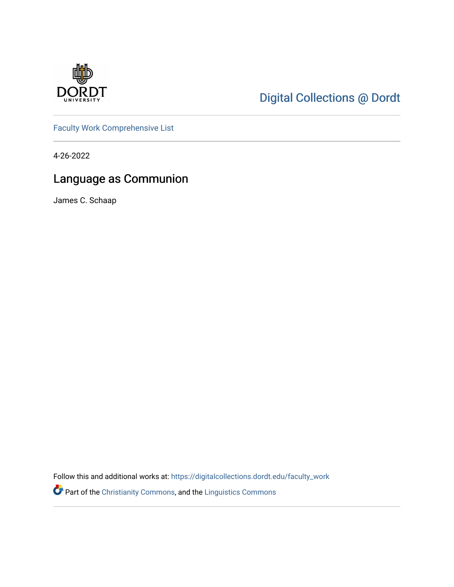

# [Digital Collections @ Dordt](https://digitalcollections.dordt.edu/)

[Faculty Work Comprehensive List](https://digitalcollections.dordt.edu/faculty_work)

4-26-2022

# Language as Communion

James C. Schaap

Follow this and additional works at: [https://digitalcollections.dordt.edu/faculty\\_work](https://digitalcollections.dordt.edu/faculty_work?utm_source=digitalcollections.dordt.edu%2Ffaculty_work%2F1384&utm_medium=PDF&utm_campaign=PDFCoverPages) 

Part of the [Christianity Commons,](http://network.bepress.com/hgg/discipline/1181?utm_source=digitalcollections.dordt.edu%2Ffaculty_work%2F1384&utm_medium=PDF&utm_campaign=PDFCoverPages) and the [Linguistics Commons](http://network.bepress.com/hgg/discipline/371?utm_source=digitalcollections.dordt.edu%2Ffaculty_work%2F1384&utm_medium=PDF&utm_campaign=PDFCoverPages)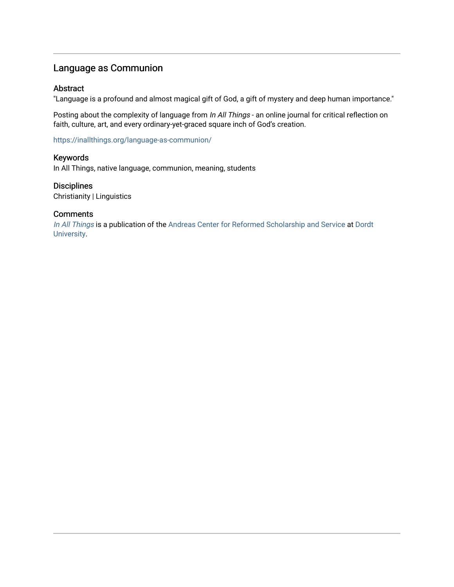## Language as Communion

#### Abstract

"Language is a profound and almost magical gift of God, a gift of mystery and deep human importance."

Posting about the complexity of language from In All Things - an online journal for critical reflection on faith, culture, art, and every ordinary-yet-graced square inch of God's creation.

<https://inallthings.org/language-as-communion/>

#### Keywords

In All Things, native language, communion, meaning, students

#### **Disciplines**

Christianity | Linguistics

#### **Comments**

[In All Things](http://inallthings.org/) is a publication of the [Andreas Center for Reformed Scholarship and Service](http://www.dordt.edu/services_support/andreas_center/) at Dordt [University](http://www.dordt.edu/).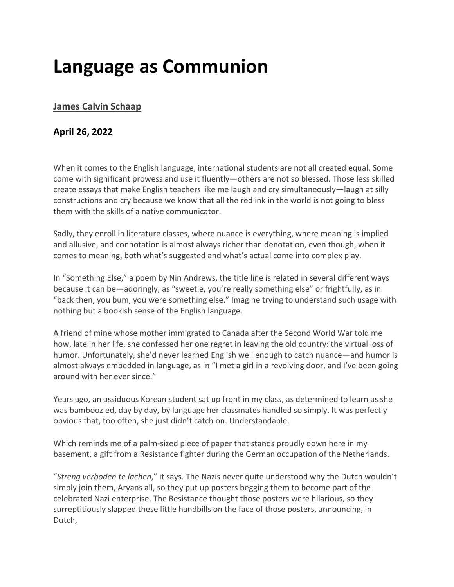# **Language as Communion**

## **[James Calvin Schaap](https://inallthings.org/author/james-calvin-schaap/)**

## **April 26, 2022**

When it comes to the English language, international students are not all created equal. Some come with significant prowess and use it fluently—others are not so blessed. Those less skilled create essays that make English teachers like me laugh and cry simultaneously—laugh at silly constructions and cry because we know that all the red ink in the world is not going to bless them with the skills of a native communicator.

Sadly, they enroll in literature classes, where nuance is everything, where meaning is implied and allusive, and connotation is almost always richer than denotation, even though, when it comes to meaning, both what's suggested and what's actual come into complex play.

In "Something Else," a poem by Nin Andrews, the title line is related in several different ways because it can be—adoringly, as "sweetie, you're really something else" or frightfully, as in "back then, you bum, you were something else." Imagine trying to understand such usage with nothing but a bookish sense of the English language.

A friend of mine whose mother immigrated to Canada after the Second World War told me how, late in her life, she confessed her one regret in leaving the old country: the virtual loss of humor. Unfortunately, she'd never learned English well enough to catch nuance—and humor is almost always embedded in language, as in "I met a girl in a revolving door, and I've been going around with her ever since."

Years ago, an assiduous Korean student sat up front in my class, as determined to learn as she was bamboozled, day by day, by language her classmates handled so simply. It was perfectly obvious that, too often, she just didn't catch on. Understandable.

Which reminds me of a palm-sized piece of paper that stands proudly down here in my basement, a gift from a Resistance fighter during the German occupation of the Netherlands.

"*Streng verboden te lachen*," it says. The Nazis never quite understood why the Dutch wouldn't simply join them, Aryans all, so they put up posters begging them to become part of the celebrated Nazi enterprise. The Resistance thought those posters were hilarious, so they surreptitiously slapped these little handbills on the face of those posters, announcing, in Dutch,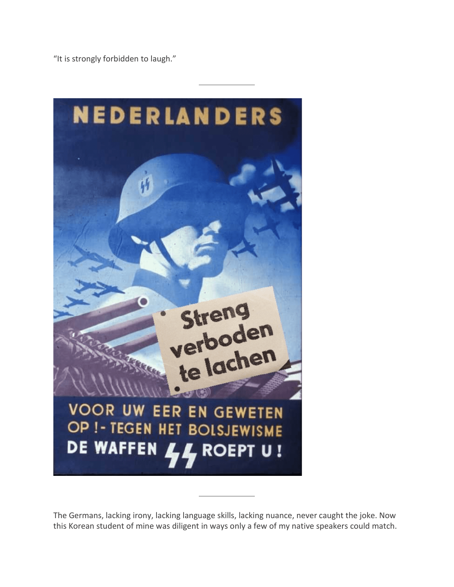"It is strongly forbidden to laugh."



The Germans, lacking irony, lacking language skills, lacking nuance, never caught the joke. Now this Korean student of mine was diligent in ways only a few of my native speakers could match.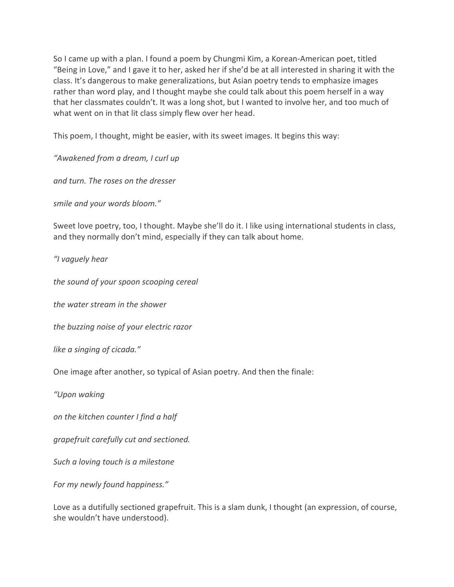So I came up with a plan. I found a poem by Chungmi Kim, a Korean-American poet, titled "Being in Love," and I gave it to her, asked her if she'd be at all interested in sharing it with the class. It's dangerous to make generalizations, but Asian poetry tends to emphasize images rather than word play, and I thought maybe she could talk about this poem herself in a way that her classmates couldn't. It was a long shot, but I wanted to involve her, and too much of what went on in that lit class simply flew over her head.

This poem, I thought, might be easier, with its sweet images. It begins this way:

*"Awakened from a dream, I curl up*

*and turn. The roses on the dresser*

*smile and your words bloom."*

Sweet love poetry, too, I thought. Maybe she'll do it. I like using international students in class, and they normally don't mind, especially if they can talk about home.

*"I vaguely hear*

*the sound of your spoon scooping cereal*

*the water stream in the shower*

*the buzzing noise of your electric razor*

*like a singing of cicada."*

One image after another, so typical of Asian poetry. And then the finale:

*"Upon waking*

*on the kitchen counter I find a half*

*grapefruit carefully cut and sectioned.*

*Such a loving touch is a milestone*

*For my newly found happiness."*

Love as a dutifully sectioned grapefruit. This is a slam dunk, I thought (an expression, of course, she wouldn't have understood).